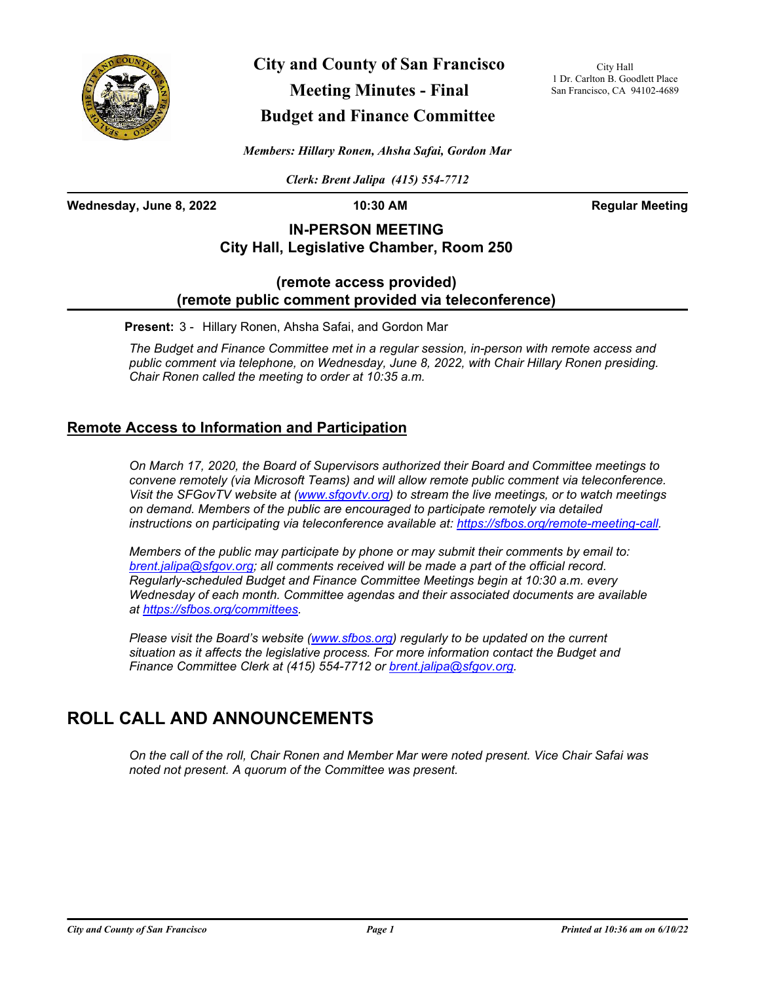

**City and County of San Francisco Meeting Minutes - Final Budget and Finance Committee**

City Hall 1 Dr. Carlton B. Goodlett Place San Francisco, CA 94102-4689

*Members: Hillary Ronen, Ahsha Safai, Gordon Mar*

*Clerk: Brent Jalipa (415) 554-7712*

**Wednesday, June 8, 2022 10:30 AM Regular Meeting**

### **IN-PERSON MEETING City Hall, Legislative Chamber, Room 250**

#### **(remote access provided) (remote public comment provided via teleconference)**

**Present:** 3 - Hillary Ronen, Ahsha Safai, and Gordon Mar

*The Budget and Finance Committee met in a regular session, in-person with remote access and public comment via telephone, on Wednesday, June 8, 2022, with Chair Hillary Ronen presiding. Chair Ronen called the meeting to order at 10:35 a.m.*

#### **Remote Access to Information and Participation**

*On March 17, 2020, the Board of Supervisors authorized their Board and Committee meetings to convene remotely (via Microsoft Teams) and will allow remote public comment via teleconference. Visit the SFGovTV website at [\(www.sfgovtv.org](www.sfgovtv.org)) to stream the live meetings, or to watch meetings on demand. Members of the public are encouraged to participate remotely via detailed instructions on participating via teleconference available at: [https://sfbos.org/remote-meeting-call.](https://sfbos.org/remote-meeting-call)*

*Members of the public may participate by phone or may submit their comments by email to: [brent.jalipa@sfgov.org;](mailto:brent.jalipa@sfgov.org) all comments received will be made a part of the official record. Regularly-scheduled Budget and Finance Committee Meetings begin at 10:30 a.m. every Wednesday of each month. Committee agendas and their associated documents are available at [https://sfbos.org/committees.](https://sfbos.org/committees)*

*Please visit the Board's website [\(www.sfbos.org\)](https://sfbos.org) regularly to be updated on the current situation as it affects the legislative process. For more information contact the Budget and Finance Committee Clerk at (415) 554-7712 or [brent.jalipa@sfgov.org.](mailto:brent.jalipa@sfgov.org)*

# **ROLL CALL AND ANNOUNCEMENTS**

*On the call of the roll, Chair Ronen and Member Mar were noted present. Vice Chair Safai was noted not present. A quorum of the Committee was present.*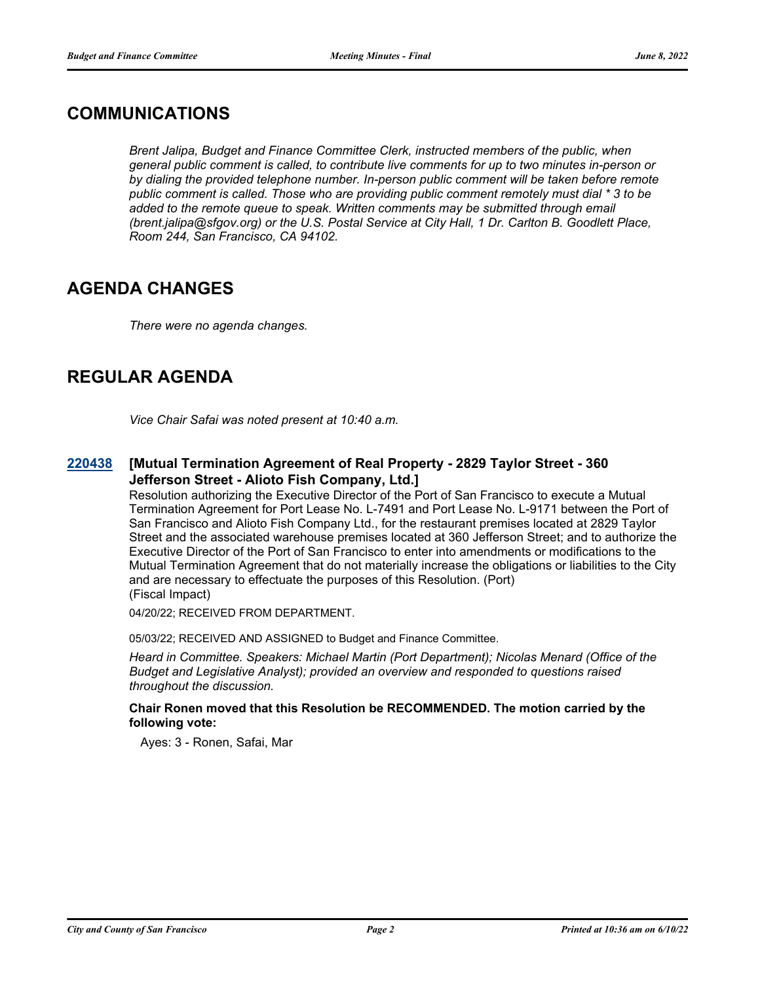## **COMMUNICATIONS**

*Brent Jalipa, Budget and Finance Committee Clerk, instructed members of the public, when general public comment is called, to contribute live comments for up to two minutes in-person or by dialing the provided telephone number. In-person public comment will be taken before remote public comment is called. Those who are providing public comment remotely must dial \* 3 to be*  added to the remote queue to speak. Written comments may be submitted through email *(brent.jalipa@sfgov.org) or the U.S. Postal Service at City Hall, 1 Dr. Carlton B. Goodlett Place, Room 244, San Francisco, CA 94102.*

# **AGENDA CHANGES**

*There were no agenda changes.*

# **REGULAR AGENDA**

*Vice Chair Safai was noted present at 10:40 a.m.*

#### **[Mutual Termination Agreement of Real Property - 2829 Taylor Street - 360 Jefferson Street - Alioto Fish Company, Ltd.] [220438](http://sfgov.legistar.com/gateway.aspx?m=l&id=38630)**

Resolution authorizing the Executive Director of the Port of San Francisco to execute a Mutual Termination Agreement for Port Lease No. L-7491 and Port Lease No. L-9171 between the Port of San Francisco and Alioto Fish Company Ltd., for the restaurant premises located at 2829 Taylor Street and the associated warehouse premises located at 360 Jefferson Street; and to authorize the Executive Director of the Port of San Francisco to enter into amendments or modifications to the Mutual Termination Agreement that do not materially increase the obligations or liabilities to the City and are necessary to effectuate the purposes of this Resolution. (Port) (Fiscal Impact)

04/20/22; RECEIVED FROM DEPARTMENT.

05/03/22; RECEIVED AND ASSIGNED to Budget and Finance Committee.

*Heard in Committee. Speakers: Michael Martin (Port Department); Nicolas Menard (Office of the Budget and Legislative Analyst); provided an overview and responded to questions raised throughout the discussion.*

#### **Chair Ronen moved that this Resolution be RECOMMENDED. The motion carried by the following vote:**

Ayes: 3 - Ronen, Safai, Mar